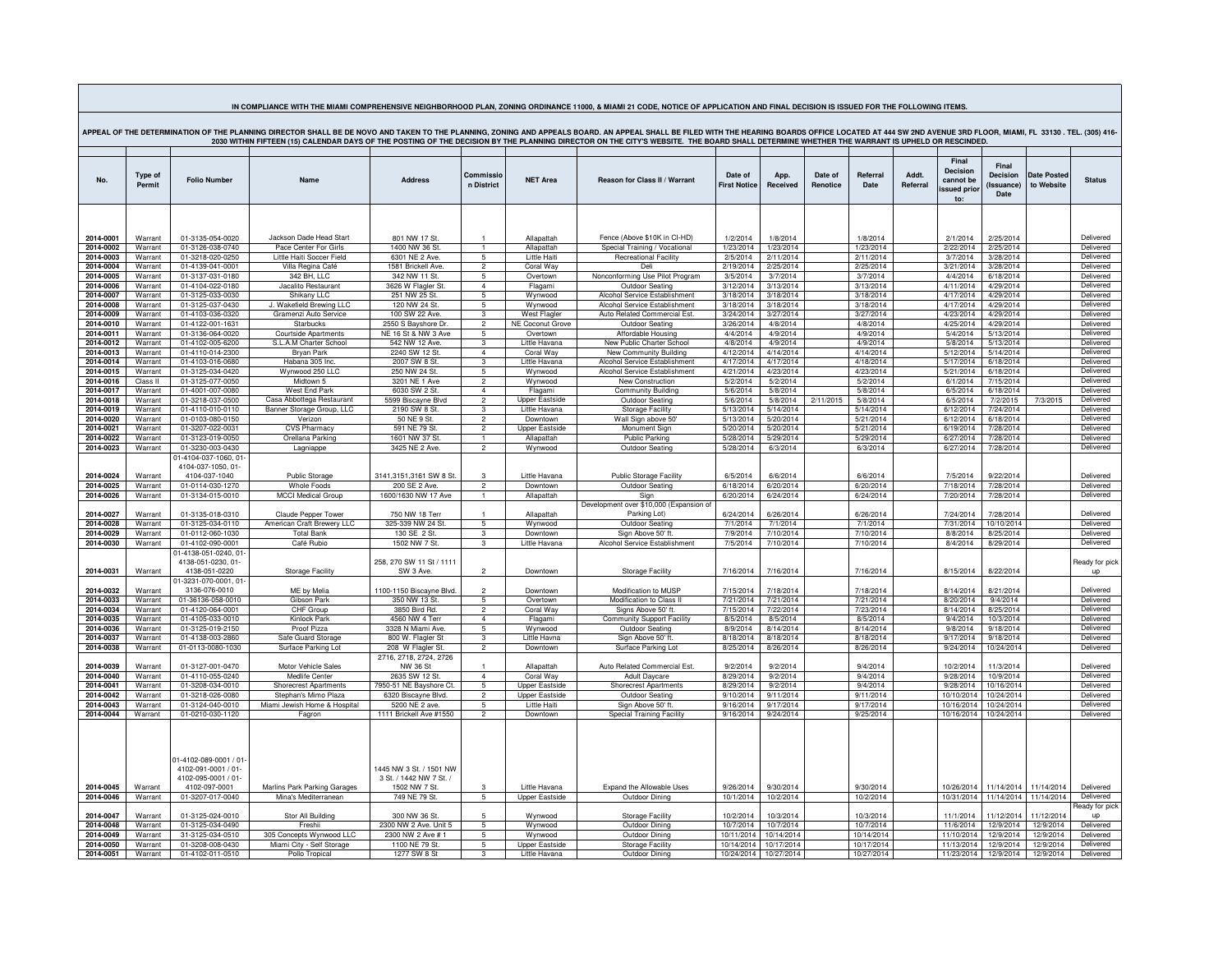| IN COMPLIANCE WITH THE MIAMI COMPREHENSIVE NEIGHBORHOOD PLAN, ZONING ORDINANCE 11000, & MIAMI 21 CODE, NOTICE OF APPLICATION AND FINAL DECISION IS ISSUED FOR THE FOLLOWING ITEMS.                                                                                                                                                                                                                                            |                    |                                                                                      |                                                       |                                                                     |                                  |                           |                                                         |                                |                        |                     |                         |                   |                                                      |                                         |                          |                        |
|-------------------------------------------------------------------------------------------------------------------------------------------------------------------------------------------------------------------------------------------------------------------------------------------------------------------------------------------------------------------------------------------------------------------------------|--------------------|--------------------------------------------------------------------------------------|-------------------------------------------------------|---------------------------------------------------------------------|----------------------------------|---------------------------|---------------------------------------------------------|--------------------------------|------------------------|---------------------|-------------------------|-------------------|------------------------------------------------------|-----------------------------------------|--------------------------|------------------------|
| APPEAL OF THE DETERMINATION OF THE PLANNING DIRECTOR SHALL BE DE NOVO AND TAKEN TO THE PLANNING, ZONING AND APPEALS BOARD. AN APPEAL SHALL BE FILED WITH THE HEARING BOARDS OFFICE LOCATED AT 444 SW 2ND AVENUE 3RD FLOOR, MIA<br>2030 WITHIN FIFTEEN (15) CALENDAR DAYS OF THE POSTING OF THE DECISION BY THE PLANNING DIRECTOR ON THE CITY'S WEBSITE. THE BOARD SHALL DETERMINE WHETHER THE WARRANT IS UPHELD OR RESCINDED. |                    |                                                                                      |                                                       |                                                                     |                                  |                           |                                                         |                                |                        |                     |                         |                   |                                                      |                                         |                          |                        |
|                                                                                                                                                                                                                                                                                                                                                                                                                               |                    |                                                                                      |                                                       |                                                                     |                                  |                           |                                                         |                                |                        |                     |                         |                   |                                                      |                                         |                          |                        |
| No.                                                                                                                                                                                                                                                                                                                                                                                                                           | Type of<br>Permit  | <b>Folio Number</b>                                                                  | Name                                                  | <b>Address</b>                                                      | Commissic<br>n District          | <b>NET Area</b>           | Reason for Class II / Warrant                           | Date of<br><b>First Notice</b> | App.<br>Received       | Date of<br>Renotice | <b>Referral</b><br>Date | Addt.<br>Referral | Final<br>Decision<br>cannot be<br>ssued prior<br>to: | Final<br>Decision<br>(Issuance)<br>Date | Date Poste<br>to Website | <b>Status</b>          |
|                                                                                                                                                                                                                                                                                                                                                                                                                               |                    |                                                                                      |                                                       |                                                                     |                                  |                           |                                                         |                                |                        |                     |                         |                   |                                                      |                                         |                          |                        |
|                                                                                                                                                                                                                                                                                                                                                                                                                               |                    |                                                                                      |                                                       |                                                                     |                                  |                           |                                                         |                                |                        |                     |                         |                   |                                                      |                                         |                          |                        |
| 2014-0001                                                                                                                                                                                                                                                                                                                                                                                                                     | Warrant            | 01-3135-054-0020                                                                     | Jackson Dade Head Start                               | 801 NW 17 St                                                        |                                  | Allapattah                | Fence (Above \$10K in CI-HD)                            | 1/2/2014                       | 1/8/2014               |                     | 1/8/2014                |                   | 2/1/2014                                             | 2/25/2014                               |                          | Delivered              |
| 2014-0002                                                                                                                                                                                                                                                                                                                                                                                                                     | Warrant            | 01-3126-038-0740                                                                     | Pace Center For Girls                                 | 1400 NW 36 St                                                       | $\overline{1}$                   | Allapattah                | Special Training / Vocational                           | 1/23/2014                      | 1/23/2014              |                     | 1/23/2014               |                   | 2/22/2014                                            | 2/25/2014                               |                          | Delivered              |
| 2014-0003                                                                                                                                                                                                                                                                                                                                                                                                                     | Warrant            | 01-3218-020-0250                                                                     | Little Haiti Soccer Field                             | 6301 NE 2 Ave                                                       | 5                                | <b>Little Hait</b>        | <b>Recreational Facility</b>                            | 2/5/2014                       | 2/11/2014              |                     | 2/11/2014               |                   | 3/7/2014                                             | 3/28/2014                               |                          | Delivered              |
| 2014-0004<br>2014-0005                                                                                                                                                                                                                                                                                                                                                                                                        | Warrant<br>Warrant | 01-4139-041-0001<br>01-3137-031-0180                                                 | Villa Regina Café<br>342 BH. II C                     | 1581 Brickell Ave<br>342 NW 11 St                                   | $\overline{2}$<br>-5             | Coral Way<br>Overtown     | Deli<br>Nonconforming Use Pilot Program                 | 2/19/2014<br>3/5/2014          | 2/25/2014<br>3/7/2014  |                     | 2/25/2014<br>3/7/2014   |                   | 3/21/2014<br>4/4/2014                                | 3/28/2014<br>6/18/2014                  |                          | Delivered<br>Delivered |
| 2014-0006                                                                                                                                                                                                                                                                                                                                                                                                                     | Warrant            | 01-4104-022-0180                                                                     | Jacalito Restaurant                                   | 3626 W Flagler St.                                                  | $\overline{4}$                   | Flagami                   | Outdoor Seating                                         | 3/12/2014                      | 3/13/2014              |                     | 3/13/2014               |                   | 4/11/2014                                            | 4/29/2014                               |                          | Delivered              |
| 2014-0007                                                                                                                                                                                                                                                                                                                                                                                                                     | Warrant            | 01-3125-033-0030                                                                     | Shikany LLC                                           | 251 NW 25 St.                                                       | 5                                | Wynwood                   | Alcohol Service Establishment                           | 3/18/2014                      | 3/18/2014              |                     | 3/18/2014               |                   | 4/17/2014                                            | 4/29/2014                               |                          | Delivered              |
| 2014-0008                                                                                                                                                                                                                                                                                                                                                                                                                     | Warrant            | 01-3125-037-0430                                                                     | J. Wakefield Brewing LLC                              | 120 NW 24 St                                                        | 5                                | Wynwood                   | Alcohol Service Establishment                           | 3/18/2014                      | 3/18/2014              |                     | 3/18/2014               |                   | 4/17/2014                                            | 4/29/2014                               |                          | Delivered              |
| 2014-0009                                                                                                                                                                                                                                                                                                                                                                                                                     | Warrant            | 01-4103-036-0320                                                                     | Gramenzi Auto Service                                 | 100 SW 22 Ave.                                                      | 3                                | <b>West Flagler</b>       | Auto Related Commercial Est.                            | 3/24/2014                      | 3/27/2014              |                     | 3/27/2014               |                   | 4/23/2014                                            | 4/29/2014                               |                          | Delivered              |
| 2014-0010                                                                                                                                                                                                                                                                                                                                                                                                                     | Warrant            | 01-4122-001-1631                                                                     | <b>Starbucks</b>                                      | 2550 S Bayshore Dr.                                                 | $\overline{2}$                   | <b>NE Coconut Grove</b>   | Outdoor Seating                                         | 3/26/2014                      | 4/8/2014               |                     | 4/8/2014                |                   | 4/25/2014                                            | 4/29/2014                               |                          | Delivered              |
| 2014-0011<br>2014-0012                                                                                                                                                                                                                                                                                                                                                                                                        | Warrant<br>Warrant | 01-3136-064-0020<br>01-4102-005-6200                                                 | <b>Courtside Apartments</b><br>S.I.A.M Charter School | NE 16 St & NW 3 Ave<br>542 NW 12 Ave                                | 5<br>3                           | Overtown<br>Little Havana | Affordable Housing<br>New Public Charter School         | 4/4/2014<br>4/8/2014           | 4/9/2014<br>4/9/2014   |                     | 4/9/2014<br>4/9/2014    |                   | 5/4/2014<br>5/8/2014                                 | 5/13/2014<br>5/13/2014                  |                          | Delivered<br>Delivered |
| 2014-0013                                                                                                                                                                                                                                                                                                                                                                                                                     | Warrant            | 01-4110-014-2300                                                                     | Brvan Park                                            | 2240 SW 12 St                                                       | $\overline{4}$                   | Coral Way                 | New Community Building                                  | 4/12/2014                      | 4/14/2014              |                     | 4/14/2014               |                   | 5/12/2014                                            | 5/14/2014                               |                          | Delivered              |
| 2014-0014                                                                                                                                                                                                                                                                                                                                                                                                                     | Warrant            | 01-4103-016-0680                                                                     | Habana 305 Inc.                                       | 2007 SW 8 St.                                                       | 3                                | Little Havana             | Alcohol Service Establishment                           | 4/17/2014                      | 4/17/2014              |                     | 4/18/2014               |                   | 5/17/2014                                            | 6/18/2014                               |                          | Delivered              |
| 2014-0015                                                                                                                                                                                                                                                                                                                                                                                                                     | Warrant            | 01-3125-034-0420                                                                     | Wynwood 250 LLC                                       | 250 NW 24 St.                                                       | 5                                | Wynwood                   | Alcohol Service Establishment                           | 4/21/2014                      | 4/23/2014              |                     | 4/23/2014               |                   | 5/21/2014                                            | 6/18/2014                               |                          | Delivered              |
| 2014-0016                                                                                                                                                                                                                                                                                                                                                                                                                     | Class II           | 01-3125-077-0050                                                                     | Midtown 5                                             | 3201 NE 1 Ave                                                       | $\overline{2}$                   | Wynwood                   | New Construction                                        | 5/2/2014                       | 5/2/2014               |                     | 5/2/2014                |                   | 6/1/2014                                             | 7/15/2014                               |                          | Delivered              |
| 2014-0017<br>2014-0018                                                                                                                                                                                                                                                                                                                                                                                                        | Warrant<br>Warrant | 01-4001-007-0080<br>01-3218-037-0500                                                 | West End Park<br>Casa Abbottega Restaurant            | 6030 SW 2 St<br>5599 Biscayne Blvd                                  | $\overline{4}$<br>$\overline{2}$ | Flagami<br>Upper Eastside | <b>Community Building</b><br>Outdoor Seating            | 5/6/2014<br>5/6/2014           | 5/8/2014<br>5/8/2014   | 2/11/2015           | 5/8/2014<br>5/8/2014    |                   | 6/5/2014<br>6/5/2014                                 | 6/18/2014<br>7/2/2015                   | 7/3/2015                 | Delivered<br>Delivered |
| 2014-0019                                                                                                                                                                                                                                                                                                                                                                                                                     | Warrant            | 01-4110-010-0110                                                                     | Banner Storage Group, LLC                             | 2190 SW 8 St.                                                       | $\mathcal{R}$                    | Little Havana             | Storage Facility                                        | 5/13/2014                      | 5/14/2014              |                     | $\overline{5/14/2014}$  |                   | 6/12/2014                                            | 7/24/2014                               |                          | Delivered              |
| 2014-0020                                                                                                                                                                                                                                                                                                                                                                                                                     | Warrant            | 01-0103-080-0150                                                                     | Verizon                                               | 50 NF 9 St.                                                         | $\overline{2}$                   | Downtown                  | Wall Sign above 50                                      | 5/13/2014                      | 5/20/2014              |                     | 5/21/2014               |                   | 6/12/2014                                            | 6/18/2014                               |                          | Delivered              |
| 2014-0021                                                                                                                                                                                                                                                                                                                                                                                                                     | Warrant            | 01-3207-022-0031                                                                     | <b>CVS Pharmacy</b>                                   | 591 NE 79 St                                                        | $\overline{2}$                   | <b>Upper Eastside</b>     | Monument Sign                                           | 5/20/2014                      | 5/20/2014              |                     | 5/21/2014               |                   | 6/19/2014                                            | 7/28/2014                               |                          | Delivered              |
| 2014-0022                                                                                                                                                                                                                                                                                                                                                                                                                     | Warrant            | 01-3123-019-0050                                                                     | Orellana Parking                                      | 1601 NW 37 St                                                       | $\overline{1}$                   | Allapattah                | <b>Public Parking</b>                                   | 5/28/2014                      | 5/29/2014              |                     | 5/29/2014               |                   | 6/27/2014                                            | 7/28/2014                               |                          | Delivered              |
| 2014-0023                                                                                                                                                                                                                                                                                                                                                                                                                     | Warrant            | 01-3230-003-0430                                                                     | Lagniappe                                             | 3425 NF 2 Ave.                                                      | $\overline{2}$                   | Wynwood                   | Outdoor Seating                                         | 5/28/2014                      | 6/3/2014               |                     | 6/3/2014                |                   | 6/27/2014                                            | 7/28/2014                               |                          | Delivered              |
|                                                                                                                                                                                                                                                                                                                                                                                                                               |                    | 01-4104-037-1060, 01<br>4104-037-1050, 01-                                           |                                                       |                                                                     |                                  |                           |                                                         |                                |                        |                     |                         |                   |                                                      |                                         |                          |                        |
| 2014-0024                                                                                                                                                                                                                                                                                                                                                                                                                     | Warrant            | 4104-037-1040                                                                        | Public Storage                                        | 3141,3151,3161 SW 8 St.                                             | $\mathbf{3}$                     | Little Havana             | <b>Public Storage Facility</b>                          | 6/5/2014                       | 6/6/2014               |                     | 6/6/2014                |                   | 7/5/2014                                             | 9/22/2014                               |                          | Delivered              |
| 2014-0025                                                                                                                                                                                                                                                                                                                                                                                                                     | Warrant            | 01-0114-030-1270                                                                     | <b>Whole Foods</b>                                    | 200 SE 2 Ave.                                                       | $\overline{2}$                   | Downtown                  | Outdoor Seating                                         | 6/18/2014                      | 6/20/2014              |                     | 6/20/2014               |                   | 7/18/2014                                            | 7/28/2014                               |                          | Delivered              |
| 2014-0026                                                                                                                                                                                                                                                                                                                                                                                                                     | Warrant            | 01-3134-015-0010                                                                     | <b>MCCI Medical Group</b>                             | 1600/1630 NW 17 Ave                                                 |                                  | Allapattah                | Sign                                                    | 6/20/2014                      | 6/24/2014              |                     | 6/24/2014               |                   | 7/20/2014                                            | 7/28/2014                               |                          | Delivered              |
| 2014-0027                                                                                                                                                                                                                                                                                                                                                                                                                     | Warrant            | 01-3135-018-0310                                                                     | Claude Pepper Tower                                   | 750 NW 18 Terr                                                      |                                  | Allanattah                | Development over \$10,000 (Expansion of<br>Parking Lot) | 6/24/2014                      | 6/26/2014              |                     | 6/26/2014               |                   | 7/24/2014                                            | 7/28/2014                               |                          | Delivered              |
| 2014-0028                                                                                                                                                                                                                                                                                                                                                                                                                     | Warrant            | 01-3125-034-0110                                                                     | American Craft Brewery LLC                            | 325-339 NW 24 St.                                                   | 5                                | Wynwood                   | <b>Outdoor Seating</b>                                  | 7/1/2014                       | 7/1/2014               |                     | 7/1/2014                |                   | 7/31/2014                                            | 10/10/2014                              |                          | Delivered              |
| 2014-0029                                                                                                                                                                                                                                                                                                                                                                                                                     | Warrant            | 01-0112-060-1030                                                                     | <b>Total Bank</b>                                     | 130 SE 2 St.                                                        | $\mathbf{3}$                     | Downtown                  | Sign Above 50' ft                                       | 7/9/2014                       | 7/10/2014              |                     | 7/10/2014               |                   | 8/8/2014                                             | 8/25/2014                               |                          | Delivered              |
| 2014-0030                                                                                                                                                                                                                                                                                                                                                                                                                     | Warrant            | 01-4102-090-0001                                                                     | Café Rubio                                            | 1502 NW 7 St.                                                       | $\overline{\mathbf{3}}$          | Little Havana             | Alcohol Service Establishment                           | 7/5/2014                       | 7/10/2014              |                     | 7/10/2014               |                   | 8/4/2014                                             | 8/29/2014                               |                          | Delivered              |
| 2014-0031                                                                                                                                                                                                                                                                                                                                                                                                                     | Warrant            | 01-4138-051-0240, 01<br>4138-051-0230, 01-<br>4138-051-0220                          | <b>Storage Facility</b>                               | 258, 270 SW 11 St / 1111<br>SW 3 Ave.                               | $\overline{2}$                   | Downtown                  | <b>Storage Facility</b>                                 | 7/16/2014                      | 7/16/2014              |                     | 7/16/2014               |                   | 8/15/2014                                            | 8/22/2014                               |                          | Ready for pick<br>up   |
| 2014-0032                                                                                                                                                                                                                                                                                                                                                                                                                     | Warrant            | 01-3231-070-0001, 01<br>3136-076-0010                                                | ME by Melia                                           | 1100-1150 Biscayne Blvd.                                            |                                  | Downtown                  | Modification to MUSP                                    | 7/15/2014                      | 7/18/2014              |                     | 7/18/2014               |                   | 8/14/2014                                            | 8/21/2014                               |                          | Delivered              |
| 2014-0033                                                                                                                                                                                                                                                                                                                                                                                                                     | Warrant            | 01-36136-058-0010                                                                    | Gibson Park                                           | 350 NW 13 St.                                                       | 5                                | Overtown                  | Modification to Class II                                | 7/21/2014                      | 7/21/2014              |                     | 7/21/2014               |                   | 8/20/2014                                            | 9/4/2014                                |                          | Delivered              |
| 2014-0034                                                                                                                                                                                                                                                                                                                                                                                                                     | Warrant            | 01-4120-064-0001                                                                     | CHF Group                                             | 3850 Bird Rd.                                                       | $\overline{2}$                   | Coral Way                 | Signs Above 50' ft.                                     | 7/15/2014                      | 7/22/2014              |                     | 7/23/2014               |                   | 8/14/2014                                            | 8/25/2014                               |                          | Delivered              |
| 2014-0035                                                                                                                                                                                                                                                                                                                                                                                                                     | Warrant            | 01-4105-033-0010                                                                     | Kinlock Park                                          | 4560 NW 4 Terr                                                      | $\overline{4}$                   | Flagami                   | Community Support Facility                              | 8/5/2014                       | 8/5/2014               |                     | 8/5/2014                |                   | 9/4/2014                                             | 10/3/2014                               |                          | Delivered              |
| 2014-0036                                                                                                                                                                                                                                                                                                                                                                                                                     | Warrant            | 01-3125-019-2150                                                                     | Proof Pizza                                           | 3328 N Miami Ave.                                                   | 5                                | Wynwood                   | Outdoor Seating                                         | 8/9/2014                       | 8/14/2014              |                     | 8/14/2014               |                   | 9/8/2014                                             | 9/18/2014                               |                          | Delivered              |
| 2014-0037                                                                                                                                                                                                                                                                                                                                                                                                                     | Warrant            | 01-4138-003-2860                                                                     | Safe Guard Storage                                    | 800 W. Flagler St                                                   | 3                                | Little Havna              | Sign Above 50' ft.                                      | 8/18/2014                      | 8/18/2014              |                     | 8/18/2014               |                   | 9/17/2014                                            | 9/18/2014                               |                          | Delivered              |
| 2014-0038                                                                                                                                                                                                                                                                                                                                                                                                                     | Warrant            | 01-0113-0080-1030                                                                    | Surface Parking Lot                                   | 208 W Flagler St.<br>2716, 2718, 2724, 2726                         | $\overline{2}$                   | Downtown                  | Surface Parking Lot                                     | 8/25/2014                      | 8/26/2014              |                     | 8/26/2014               |                   | 9/24/2014                                            | 10/24/2014                              |                          | Delivered              |
| 2014-0039                                                                                                                                                                                                                                                                                                                                                                                                                     | Warrant            | 01-3127-001-0470                                                                     | Motor Vehicle Sales                                   | <b>NW 36 St</b>                                                     |                                  | Allapattah                | Auto Related Commercial Est                             | 9/2/2014                       | 9/2/2014               |                     | 9/4/2014                |                   | 10/2/2014                                            | 11/3/2014                               |                          | Delivered              |
| 2014-0040                                                                                                                                                                                                                                                                                                                                                                                                                     | Warrant            | 01-4110-055-0240                                                                     | Medlife Center                                        | 2635 SW 12 St                                                       | $\Delta$                         | Coral Way                 | <b>Adult Davcare</b>                                    | 8/29/2014                      | 9/2/2014               |                     | 9/4/2014                |                   | 9/28/2014                                            | 10/9/2014                               |                          | Delivered              |
| 2014-0041                                                                                                                                                                                                                                                                                                                                                                                                                     | Warrant            | 01-3208-034-0010                                                                     | <b>Shorecrest Apartments</b>                          | 7950-51 NE Bayshore Ct                                              | 5                                | <b>Upper Eastside</b>     | <b>Shorecrest Apartments</b>                            | 8/29/2014                      | 9/2/2014               |                     | 9/4/2014                |                   | 9/28/2014                                            | 10/16/2014                              |                          | Delivered              |
| 2014-0042                                                                                                                                                                                                                                                                                                                                                                                                                     | Warrant            | 01-3218-026-0080                                                                     | Stephan's Mimo Plaza                                  | 6320 Biscavne Blvd.                                                 | $\overline{2}$                   | <b>Upper Eastside</b>     | Outdoor Seating                                         | 9/10/2014                      | 9/11/2014              |                     | 9/11/2014               |                   | 10/10/2014                                           | 10/24/2014                              |                          | Delivered              |
| 2014-0043<br>2014-0044                                                                                                                                                                                                                                                                                                                                                                                                        | Warrant<br>Warrant | 01-3124-040-0010<br>01-0210-030-1120                                                 | Miami Jewish Home & Hospital                          | 5200 NE 2 ave<br>1111 Brickell Ave #1550                            | 5                                | Little Haiti<br>Downtown  | Sign Above 50' ft                                       | 9/16/2014<br>9/16/2014         | 9/17/2014<br>9/24/2014 |                     | 9/17/2014               |                   | 10/16/2014<br>10/16/2014                             | 10/24/2014<br>10/24/2014                |                          | Delivered<br>Delivered |
|                                                                                                                                                                                                                                                                                                                                                                                                                               |                    |                                                                                      | Fagron                                                |                                                                     | $\overline{2}$                   |                           | <b>Special Training Facility</b>                        |                                |                        |                     | 9/25/2014               |                   |                                                      |                                         |                          |                        |
| 2014-0045                                                                                                                                                                                                                                                                                                                                                                                                                     | Warrant            | 01-4102-089-0001 / 01<br>4102-091-0001 / 01-<br>4102-095-0001 / 01-<br>4102-097-0001 | Marlins Park Parking Garages                          | 1445 NW 3 St. / 1501 NW<br>3 St. / 1442 NW 7 St. /<br>1502 NW 7 St. |                                  | Little Havana             | Expand the Allowable Uses                               | 9/26/2014                      | 9/30/2014              |                     | 9/30/2014               |                   | 10/26/2014                                           | 11/14/2014                              | 11/14/2014               | Delivered              |
| 2014-0046                                                                                                                                                                                                                                                                                                                                                                                                                     | Warrant            | 01-3207-017-0040                                                                     | Mina's Mediterranean                                  | 749 NE 79 St.                                                       | -5                               | <b>Upper Eastside</b>     | Outdoor Dining                                          | 10/1/2014                      | 10/2/2014              |                     | 10/2/2014               |                   | 10/31/2014                                           |                                         | 11/14/2014 11/14/2014    | Delivered              |
|                                                                                                                                                                                                                                                                                                                                                                                                                               |                    |                                                                                      |                                                       |                                                                     |                                  |                           |                                                         |                                |                        |                     |                         |                   |                                                      |                                         |                          | leady for pick         |
| 2014-0047<br>2014-0048                                                                                                                                                                                                                                                                                                                                                                                                        | Warrant<br>Warrant | 01-3125-024-0010<br>01-3125-034-0490                                                 | Stor All Building<br>Freshii                          | 300 NW 36 St<br>2300 NW 2 Ave. Unit 5                               | 5                                | Wynwood<br>Wynwood        | Storage Facility<br>Outdoor Dining                      | 10/2/2014<br>10/7/2014         | 10/3/2014<br>10/7/2014 |                     | 10/3/2014<br>10/7/2014  |                   | 11/1/2014<br>11/6/2014                               | 11/12/2014<br>12/9/2014                 | 11/12/201<br>12/9/2014   | up<br>Delivered        |
| 2014-0049                                                                                                                                                                                                                                                                                                                                                                                                                     | Warrant            | 31-3125-034-0510                                                                     | 305 Concepts Wynwood LLC                              | 2300 NW 2 Ave # 1                                                   | $\overline{5}$                   | Wynwood                   | Outdoor Dining                                          | 10/11/2014                     | 10/14/2014             |                     | 10/14/2014              |                   | 11/10/2014                                           | 12/9/2014                               | 12/9/2014                | Delivered              |
| 2014-0050                                                                                                                                                                                                                                                                                                                                                                                                                     | Warrant            | 01-3208-008-0430                                                                     | Miami City - Self Storage                             | 1100 NE 79 St.                                                      | 5                                | <b>Upper Eastside</b>     | <b>Storage Facility</b>                                 | 10/14/2014                     | 10/17/2014             |                     | 10/17/2014              |                   | 11/13/2014                                           | 12/9/2014                               | 12/9/2014                | Delivered              |
| 2014-0051                                                                                                                                                                                                                                                                                                                                                                                                                     | Warrant            | 01-4102-011-0510                                                                     | Pollo Tropical                                        | 1277 SW 8 St                                                        | 3                                | Little Havana             | Outdoor Dining                                          | 10/24/2014 10/27/2014          |                        |                     | 10/27/2014              |                   |                                                      | 11/23/2014 12/9/2014                    | 12/9/2014                | Delivered              |

the control of the control of the control of the control of the control of